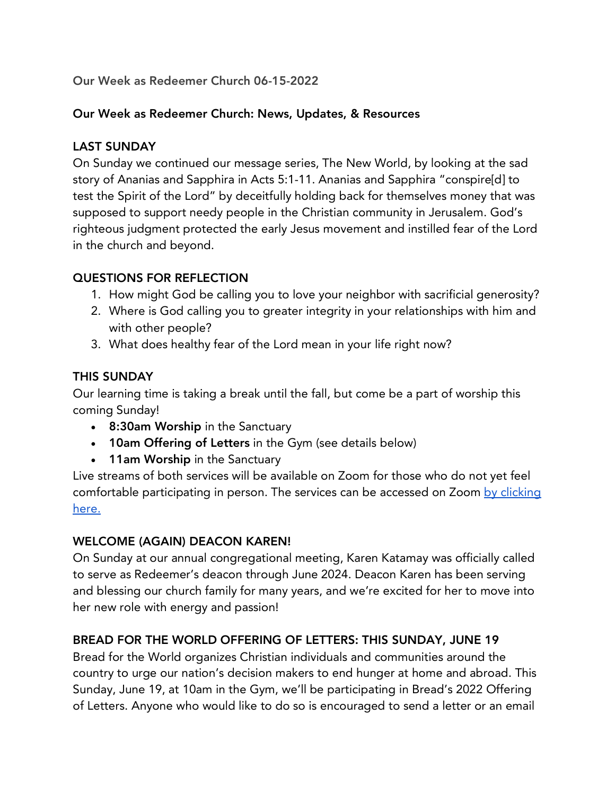# Our Week as Redeemer Church 06-15-2022

#### Our Week as Redeemer Church: News, Updates, & Resources

### LAST SUNDAY

On Sunday we continued our message series, The New World, by looking at the sad story of Ananias and Sapphira in Acts 5:1-11. Ananias and Sapphira "conspire[d] to test the Spirit of the Lord" by deceitfully holding back for themselves money that was supposed to support needy people in the Christian community in Jerusalem. God's righteous judgment protected the early Jesus movement and instilled fear of the Lord in the church and beyond.

### QUESTIONS FOR REFLECTION

- 1. How might God be calling you to love your neighbor with sacrificial generosity?
- 2. Where is God calling you to greater integrity in your relationships with him and with other people?
- 3. What does healthy fear of the Lord mean in your life right now?

### THIS SUNDAY

Our learning time is taking a break until the fall, but come be a part of worship this coming Sunday!

- 8:30am Worship in the Sanctuary
- 10am Offering of Letters in the Gym (see details below)
- 11am Worship in the Sanctuary

Live streams of both services will be available on Zoom for those who do not yet feel comfortable participating in person. The services can be accessed on Zoom by clicking here.

#### WELCOME (AGAIN) DEACON KAREN!

On Sunday at our annual congregational meeting, Karen Katamay was officially called to serve as Redeemer's deacon through June 2024. Deacon Karen has been serving and blessing our church family for many years, and we're excited for her to move into her new role with energy and passion!

# BREAD FOR THE WORLD OFFERING OF LETTERS: THIS SUNDAY, JUNE 19

Bread for the World organizes Christian individuals and communities around the country to urge our nation's decision makers to end hunger at home and abroad. This Sunday, June 19, at 10am in the Gym, we'll be participating in Bread's 2022 Offering of Letters. Anyone who would like to do so is encouraged to send a letter or an email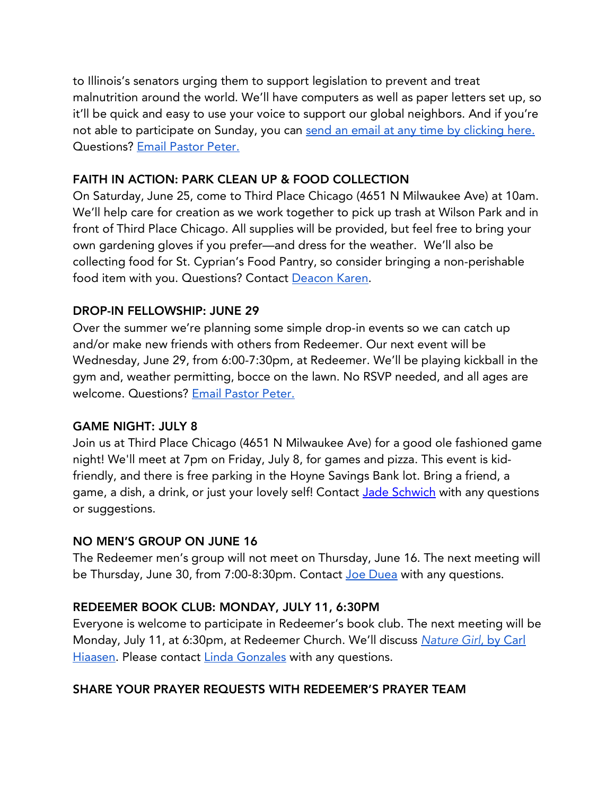to Illinois's senators urging them to support legislation to prevent and treat malnutrition around the world. We'll have computers as well as paper letters set up, so it'll be quick and easy to use your voice to support our global neighbors. And if you're not able to participate on Sunday, you can send an email at any time by clicking here. Questions? Email Pastor Peter.

### FAITH IN ACTION: PARK CLEAN UP & FOOD COLLECTION

On Saturday, June 25, come to Third Place Chicago (4651 N Milwaukee Ave) at 10am. We'll help care for creation as we work together to pick up trash at Wilson Park and in front of Third Place Chicago. All supplies will be provided, but feel free to bring your own gardening gloves if you prefer—and dress for the weather. We'll also be collecting food for St. Cyprian's Food Pantry, so consider bringing a non-perishable food item with you. Questions? Contact Deacon Karen.

# DROP-IN FELLOWSHIP: JUNE 29

Over the summer we're planning some simple drop-in events so we can catch up and/or make new friends with others from Redeemer. Our next event will be Wednesday, June 29, from 6:00-7:30pm, at Redeemer. We'll be playing kickball in the gym and, weather permitting, bocce on the lawn. No RSVP needed, and all ages are welcome. Questions? Email Pastor Peter.

# GAME NIGHT: JULY 8

Join us at Third Place Chicago (4651 N Milwaukee Ave) for a good ole fashioned game night! We'll meet at 7pm on Friday, July 8, for games and pizza. This event is kidfriendly, and there is free parking in the Hoyne Savings Bank lot. Bring a friend, a game, a dish, a drink, or just your lovely self! Contact Jade Schwich with any questions or suggestions.

#### NO MEN'S GROUP ON JUNE 16

The Redeemer men's group will not meet on Thursday, June 16. The next meeting will be Thursday, June 30, from 7:00-8:30pm. Contact Joe Duea with any questions.

# REDEEMER BOOK CLUB: MONDAY, JULY 11, 6:30PM

Everyone is welcome to participate in Redeemer's book club. The next meeting will be Monday, July 11, at 6:30pm, at Redeemer Church. We'll discuss *Nature Girl*, by Carl Hiaasen. Please contact Linda Gonzales with any questions.

# SHARE YOUR PRAYER REQUESTS WITH REDEEMER'S PRAYER TEAM